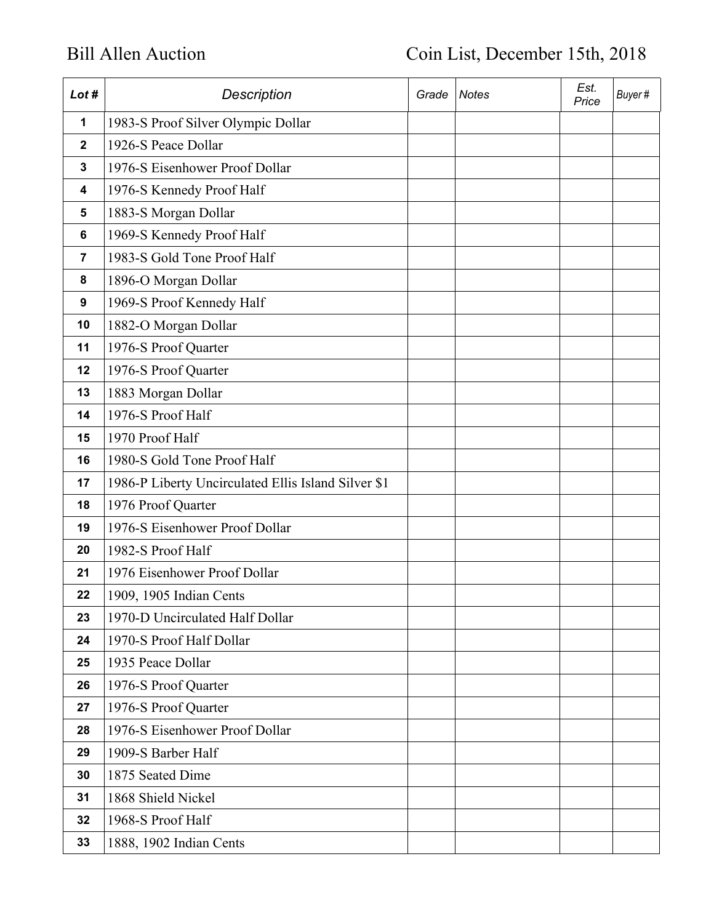| Lot #        | <b>Description</b>                                  | Grade | <b>Notes</b> | Est.<br>Price | Buyer# |
|--------------|-----------------------------------------------------|-------|--------------|---------------|--------|
| $\mathbf 1$  | 1983-S Proof Silver Olympic Dollar                  |       |              |               |        |
| $\mathbf{2}$ | 1926-S Peace Dollar                                 |       |              |               |        |
| $\mathbf{3}$ | 1976-S Eisenhower Proof Dollar                      |       |              |               |        |
| 4            | 1976-S Kennedy Proof Half                           |       |              |               |        |
| 5            | 1883-S Morgan Dollar                                |       |              |               |        |
| 6            | 1969-S Kennedy Proof Half                           |       |              |               |        |
| 7            | 1983-S Gold Tone Proof Half                         |       |              |               |        |
| 8            | 1896-O Morgan Dollar                                |       |              |               |        |
| 9            | 1969-S Proof Kennedy Half                           |       |              |               |        |
| 10           | 1882-O Morgan Dollar                                |       |              |               |        |
| 11           | 1976-S Proof Quarter                                |       |              |               |        |
| 12           | 1976-S Proof Quarter                                |       |              |               |        |
| 13           | 1883 Morgan Dollar                                  |       |              |               |        |
| 14           | 1976-S Proof Half                                   |       |              |               |        |
| 15           | 1970 Proof Half                                     |       |              |               |        |
| 16           | 1980-S Gold Tone Proof Half                         |       |              |               |        |
| 17           | 1986-P Liberty Uncirculated Ellis Island Silver \$1 |       |              |               |        |
| 18           | 1976 Proof Quarter                                  |       |              |               |        |
| 19           | 1976-S Eisenhower Proof Dollar                      |       |              |               |        |
| 20           | 1982-S Proof Half                                   |       |              |               |        |
| 21           | 1976 Eisenhower Proof Dollar                        |       |              |               |        |
| 22           | 1909, 1905 Indian Cents                             |       |              |               |        |
| 23           | 1970-D Uncirculated Half Dollar                     |       |              |               |        |
| 24           | 1970-S Proof Half Dollar                            |       |              |               |        |
| 25           | 1935 Peace Dollar                                   |       |              |               |        |
| 26           | 1976-S Proof Quarter                                |       |              |               |        |
| 27           | 1976-S Proof Quarter                                |       |              |               |        |
| 28           | 1976-S Eisenhower Proof Dollar                      |       |              |               |        |
| 29           | 1909-S Barber Half                                  |       |              |               |        |
| 30           | 1875 Seated Dime                                    |       |              |               |        |
| 31           | 1868 Shield Nickel                                  |       |              |               |        |
| 32           | 1968-S Proof Half                                   |       |              |               |        |
| 33           | 1888, 1902 Indian Cents                             |       |              |               |        |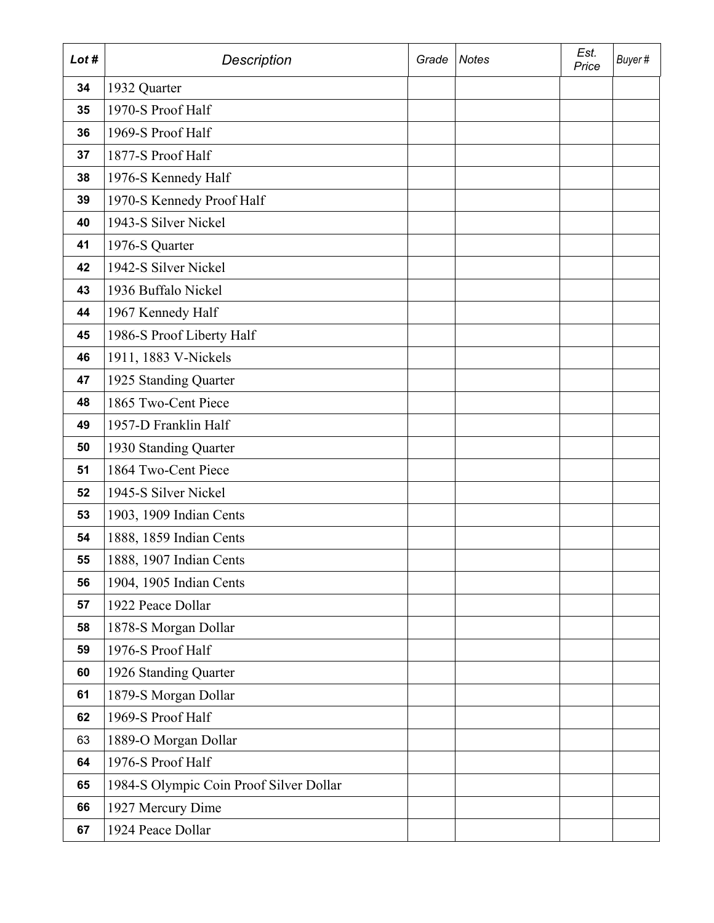| Lot # | <b>Description</b>                      | Grade | <b>Notes</b> | Est.<br>Price | Buyer# |
|-------|-----------------------------------------|-------|--------------|---------------|--------|
| 34    | 1932 Quarter                            |       |              |               |        |
| 35    | 1970-S Proof Half                       |       |              |               |        |
| 36    | 1969-S Proof Half                       |       |              |               |        |
| 37    | 1877-S Proof Half                       |       |              |               |        |
| 38    | 1976-S Kennedy Half                     |       |              |               |        |
| 39    | 1970-S Kennedy Proof Half               |       |              |               |        |
| 40    | 1943-S Silver Nickel                    |       |              |               |        |
| 41    | 1976-S Quarter                          |       |              |               |        |
| 42    | 1942-S Silver Nickel                    |       |              |               |        |
| 43    | 1936 Buffalo Nickel                     |       |              |               |        |
| 44    | 1967 Kennedy Half                       |       |              |               |        |
| 45    | 1986-S Proof Liberty Half               |       |              |               |        |
| 46    | 1911, 1883 V-Nickels                    |       |              |               |        |
| 47    | 1925 Standing Quarter                   |       |              |               |        |
| 48    | 1865 Two-Cent Piece                     |       |              |               |        |
| 49    | 1957-D Franklin Half                    |       |              |               |        |
| 50    | 1930 Standing Quarter                   |       |              |               |        |
| 51    | 1864 Two-Cent Piece                     |       |              |               |        |
| 52    | 1945-S Silver Nickel                    |       |              |               |        |
| 53    | 1903, 1909 Indian Cents                 |       |              |               |        |
| 54    | 1888, 1859 Indian Cents                 |       |              |               |        |
| 55    | 1888, 1907 Indian Cents                 |       |              |               |        |
| 56    | 1904, 1905 Indian Cents                 |       |              |               |        |
| 57    | 1922 Peace Dollar                       |       |              |               |        |
| 58    | 1878-S Morgan Dollar                    |       |              |               |        |
| 59    | 1976-S Proof Half                       |       |              |               |        |
| 60    | 1926 Standing Quarter                   |       |              |               |        |
| 61    | 1879-S Morgan Dollar                    |       |              |               |        |
| 62    | 1969-S Proof Half                       |       |              |               |        |
| 63    | 1889-O Morgan Dollar                    |       |              |               |        |
| 64    | 1976-S Proof Half                       |       |              |               |        |
| 65    | 1984-S Olympic Coin Proof Silver Dollar |       |              |               |        |
| 66    | 1927 Mercury Dime                       |       |              |               |        |
| 67    | 1924 Peace Dollar                       |       |              |               |        |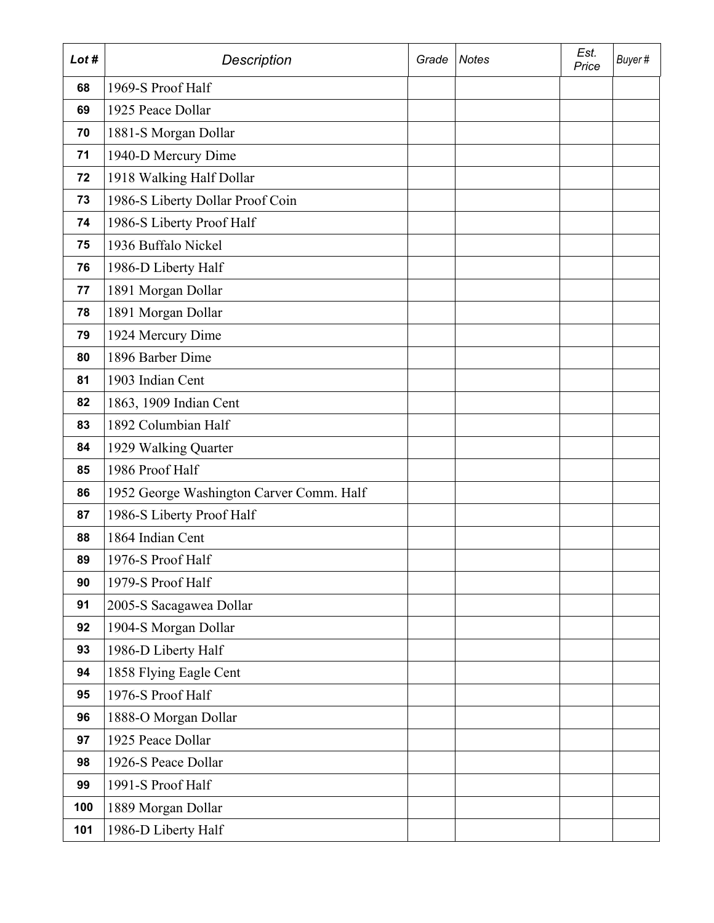| Lot # | <b>Description</b>                       | Grade | <b>Notes</b> | Est.<br>Price | Buyer# |
|-------|------------------------------------------|-------|--------------|---------------|--------|
| 68    | 1969-S Proof Half                        |       |              |               |        |
| 69    | 1925 Peace Dollar                        |       |              |               |        |
| 70    | 1881-S Morgan Dollar                     |       |              |               |        |
| 71    | 1940-D Mercury Dime                      |       |              |               |        |
| 72    | 1918 Walking Half Dollar                 |       |              |               |        |
| 73    | 1986-S Liberty Dollar Proof Coin         |       |              |               |        |
| 74    | 1986-S Liberty Proof Half                |       |              |               |        |
| 75    | 1936 Buffalo Nickel                      |       |              |               |        |
| 76    | 1986-D Liberty Half                      |       |              |               |        |
| 77    | 1891 Morgan Dollar                       |       |              |               |        |
| 78    | 1891 Morgan Dollar                       |       |              |               |        |
| 79    | 1924 Mercury Dime                        |       |              |               |        |
| 80    | 1896 Barber Dime                         |       |              |               |        |
| 81    | 1903 Indian Cent                         |       |              |               |        |
| 82    | 1863, 1909 Indian Cent                   |       |              |               |        |
| 83    | 1892 Columbian Half                      |       |              |               |        |
| 84    | 1929 Walking Quarter                     |       |              |               |        |
| 85    | 1986 Proof Half                          |       |              |               |        |
| 86    | 1952 George Washington Carver Comm. Half |       |              |               |        |
| 87    | 1986-S Liberty Proof Half                |       |              |               |        |
| 88    | 1864 Indian Cent                         |       |              |               |        |
| 89    | 1976-S Proof Half                        |       |              |               |        |
| 90    | 1979-S Proof Half                        |       |              |               |        |
| 91    | 2005-S Sacagawea Dollar                  |       |              |               |        |
| 92    | 1904-S Morgan Dollar                     |       |              |               |        |
| 93    | 1986-D Liberty Half                      |       |              |               |        |
| 94    | 1858 Flying Eagle Cent                   |       |              |               |        |
| 95    | 1976-S Proof Half                        |       |              |               |        |
| 96    | 1888-O Morgan Dollar                     |       |              |               |        |
| 97    | 1925 Peace Dollar                        |       |              |               |        |
| 98    | 1926-S Peace Dollar                      |       |              |               |        |
| 99    | 1991-S Proof Half                        |       |              |               |        |
| 100   | 1889 Morgan Dollar                       |       |              |               |        |
| 101   | 1986-D Liberty Half                      |       |              |               |        |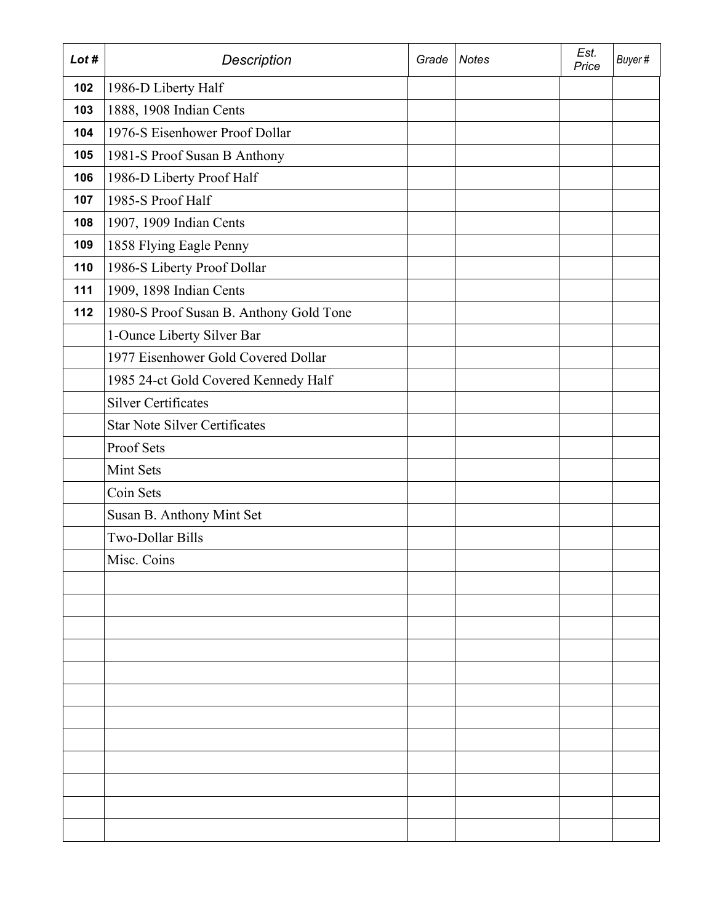| Lot # | <b>Description</b>                      | Grade | Notes | Est.<br>Price | Buyer# |
|-------|-----------------------------------------|-------|-------|---------------|--------|
| 102   | 1986-D Liberty Half                     |       |       |               |        |
| 103   | 1888, 1908 Indian Cents                 |       |       |               |        |
| 104   | 1976-S Eisenhower Proof Dollar          |       |       |               |        |
| 105   | 1981-S Proof Susan B Anthony            |       |       |               |        |
| 106   | 1986-D Liberty Proof Half               |       |       |               |        |
| 107   | 1985-S Proof Half                       |       |       |               |        |
| 108   | 1907, 1909 Indian Cents                 |       |       |               |        |
| 109   | 1858 Flying Eagle Penny                 |       |       |               |        |
| 110   | 1986-S Liberty Proof Dollar             |       |       |               |        |
| 111   | 1909, 1898 Indian Cents                 |       |       |               |        |
| 112   | 1980-S Proof Susan B. Anthony Gold Tone |       |       |               |        |
|       | 1-Ounce Liberty Silver Bar              |       |       |               |        |
|       | 1977 Eisenhower Gold Covered Dollar     |       |       |               |        |
|       | 1985 24-ct Gold Covered Kennedy Half    |       |       |               |        |
|       | <b>Silver Certificates</b>              |       |       |               |        |
|       | <b>Star Note Silver Certificates</b>    |       |       |               |        |
|       | Proof Sets                              |       |       |               |        |
|       | Mint Sets                               |       |       |               |        |
|       | Coin Sets                               |       |       |               |        |
|       | Susan B. Anthony Mint Set               |       |       |               |        |
|       | Two-Dollar Bills                        |       |       |               |        |
|       | Misc. Coins                             |       |       |               |        |
|       |                                         |       |       |               |        |
|       |                                         |       |       |               |        |
|       |                                         |       |       |               |        |
|       |                                         |       |       |               |        |
|       |                                         |       |       |               |        |
|       |                                         |       |       |               |        |
|       |                                         |       |       |               |        |
|       |                                         |       |       |               |        |
|       |                                         |       |       |               |        |
|       |                                         |       |       |               |        |
|       |                                         |       |       |               |        |
|       |                                         |       |       |               |        |